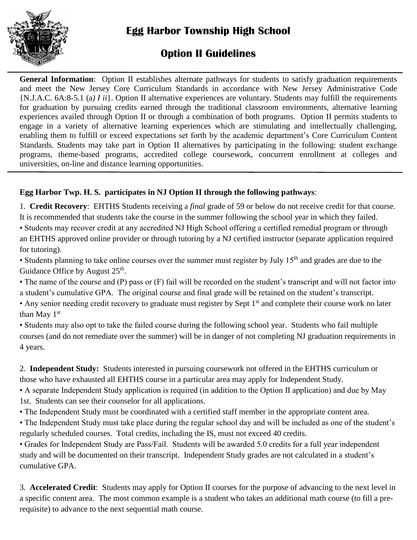

# **Option II Guidelines**

**General Information**: Option II establishes alternate pathways for students to satisfy graduation requirements and meet the New Jersey Core Curriculum Standards in accordance with New Jersey Administrative Code {N.J.A.C. 6A:8-5.1 (a*) I ii*}. Option II alternative experiences are voluntary. Students may fulfill the requirements for graduation by pursuing credits earned through the traditional classroom environments, alternative learning experiences availed through Option II or through a combination of both programs. Option II permits students to engage in a variety of alternative learning experiences which are stimulating and intellectually challenging, enabling them to fulfill or exceed expectations set forth by the academic department's Core Curriculum Content Standards. Students may take part in Option II alternatives by participating in the following: student exchange programs, theme-based programs, accredited college coursework, concurrent enrollment at colleges and universities, on-line and distance learning opportunities.

# **Egg Harbor Twp. H. S. participates in NJ Option II through the following pathways**:

1. **Credit Recovery**: EHTHS Students receiving a *final* grade of 59 or below do not receive credit for that course. It is recommended that students take the course in the summer following the school year in which they failed.

• Students may recover credit at any accredited NJ High School offering a certified remedial program or through an EHTHS approved online provider or through tutoring by a NJ certified instructor (separate application required for tutoring).

• Students planning to take online courses over the summer must register by July  $15<sup>th</sup>$  and grades are due to the Guidance Office by August 25<sup>th</sup>.

• The name of the course and (P) pass or (F) fail will be recorded on the student's transcript and will not factor into a student's cumulative GPA. The original course and final grade will be retained on the student's transcript.

• Any senior needing credit recovery to graduate must register by Sept 1<sup>st</sup> and complete their course work no later than May 1<sup>st</sup>

• Students may also opt to take the failed course during the following school year. Students who fail multiple courses (and do not remediate over the summer) will be in danger of not completing NJ graduation requirements in 4 years.

2. **Independent Study:** Students interested in pursuing coursework not offered in the EHTHS curriculum or those who have exhausted all EHTHS course in a particular area may apply for Independent Study.

• A separate Independent Study application is required (in addition to the Option II application) and due by May 1st. Students can see their counselor for all applications.

• The Independent Study must be coordinated with a certified staff member in the appropriate content area.

• The Independent Study must take place during the regular school day and will be included as one of the student's regularly scheduled courses. Total credits, including the IS, must not exceed 40 credits.

• Grades for Independent Study are Pass/Fail. Students will be awarded 5.0 credits for a full year independent study and will be documented on their transcript. Independent Study grades are not calculated in a student's cumulative GPA.

3. **Accelerated Credit**: Students may apply for Option II courses for the purpose of advancing to the next level in a specific content area. The most common example is a student who takes an additional math course (to fill a prerequisite) to advance to the next sequential math course.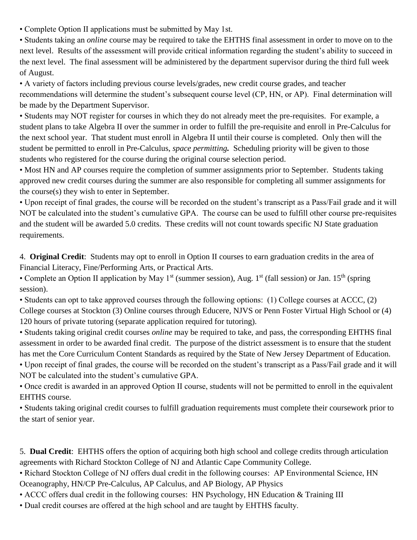• Complete Option II applications must be submitted by May 1st.

• Students taking an *online* course may be required to take the EHTHS final assessment in order to move on to the next level. Results of the assessment will provide critical information regarding the student's ability to succeed in the next level. The final assessment will be administered by the department supervisor during the third full week of August.

• A variety of factors including previous course levels/grades, new credit course grades, and teacher recommendations will determine the student's subsequent course level (CP, HN, or AP). Final determination will be made by the Department Supervisor.

• Students may NOT register for courses in which they do not already meet the pre-requisites. For example, a student plans to take Algebra II over the summer in order to fulfill the pre-requisite and enroll in Pre-Calculus for the next school year. That student must enroll in Algebra II until their course is completed. Only then will the student be permitted to enroll in Pre-Calculus, *space permitting.* Scheduling priority will be given to those students who registered for the course during the original course selection period.

• Most HN and AP courses require the completion of summer assignments prior to September. Students taking approved new credit courses during the summer are also responsible for completing all summer assignments for the course(s) they wish to enter in September.

• Upon receipt of final grades, the course will be recorded on the student's transcript as a Pass/Fail grade and it will NOT be calculated into the student's cumulative GPA. The course can be used to fulfill other course pre-requisites and the student will be awarded 5.0 credits. These credits will not count towards specific NJ State graduation requirements.

4. **Original Credit**: Students may opt to enroll in Option II courses to earn graduation credits in the area of Financial Literacy, Fine/Performing Arts, or Practical Arts.

• Complete an Option II application by May 1<sup>st</sup> (summer session), Aug. 1<sup>st</sup> (fall session) or Jan. 15<sup>th</sup> (spring session).

• Students can opt to take approved courses through the following options: (1) College courses at ACCC, (2) College courses at Stockton (3) Online courses through Educere, NJVS or Penn Foster Virtual High School or (4) 120 hours of private tutoring (separate application required for tutoring).

• Students taking original credit courses *online* may be required to take, and pass, the corresponding EHTHS final assessment in order to be awarded final credit. The purpose of the district assessment is to ensure that the student has met the Core Curriculum Content Standards as required by the State of New Jersey Department of Education.

• Upon receipt of final grades, the course will be recorded on the student's transcript as a Pass/Fail grade and it will NOT be calculated into the student's cumulative GPA.

• Once credit is awarded in an approved Option II course, students will not be permitted to enroll in the equivalent EHTHS course.

• Students taking original credit courses to fulfill graduation requirements must complete their coursework prior to the start of senior year.

5. **Dual Credit**: EHTHS offers the option of acquiring both high school and college credits through articulation agreements with Richard Stockton College of NJ and Atlantic Cape Community College.

• Richard Stockton College of NJ offers dual credit in the following courses: AP Environmental Science, HN Oceanography, HN/CP Pre-Calculus, AP Calculus, and AP Biology, AP Physics

• ACCC offers dual credit in the following courses: HN Psychology, HN Education & Training III

• Dual credit courses are offered at the high school and are taught by EHTHS faculty.